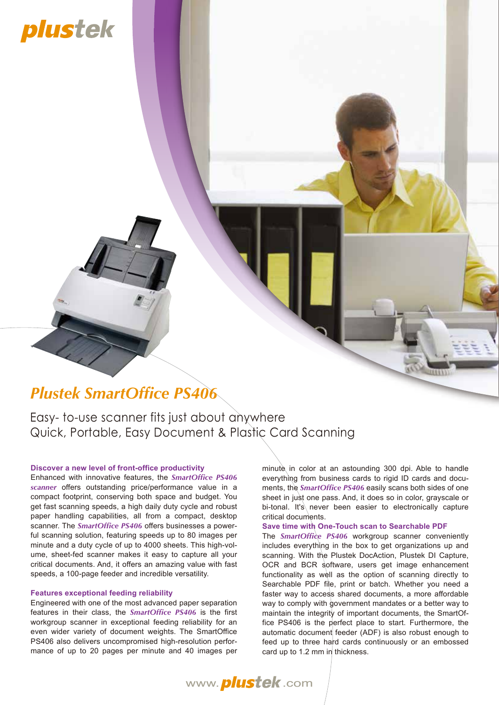# plustek

### *Plustek SmartOffice PS406*

Easy- to-use scanner fits just about anywhere Quick, Portable, Easy Document & Plastic Card Scanning

#### **Discover a new level of front-office productivity**

Enhanced with innovative features, the *SmartOffice PS406 scanner* offers outstanding price/performance value in a compact footprint, conserving both space and budget. You get fast scanning speeds, a high daily duty cycle and robust paper handling capabilities, all from a compact, desktop scanner. The *SmartOffice PS406* offers businesses a powerful scanning solution, featuring speeds up to 80 images per minute and a duty cycle of up to 4000 sheets. This high-volume, sheet-fed scanner makes it easy to capture all your critical documents. And, it offers an amazing value with fast speeds, a 100-page feeder and incredible versatility.

#### **Features exceptional feeding reliability**

Engineered with one of the most advanced paper separation features in their class, the *SmartOffice PS406* is the first workgroup scanner in exceptional feeding reliability for an even wider variety of document weights. The SmartOffice PS406 also delivers uncompromised high-resolution performance of up to 20 pages per minute and 40 images per

minute in color at an astounding 300 dpi. Able to handle everything from business cards to rigid ID cards and documents, the *SmartOffice PS406* easily scans both sides of one sheet in just one pass. And, it does so in color, grayscale or bi-tonal. It's never been easier to electronically capture critical documents.

### **Save time with One-Touch scan to Searchable PDF**

The *SmartOffice PS406* workgroup scanner conveniently includes everything in the box to get organizations up and scanning. With the Plustek DocAction, Plustek DI Capture, OCR and BCR software, users get image enhancement functionality as well as the option of scanning directly to Searchable PDF file, print or batch. Whether you need a faster way to access shared documents, a more affordable way to comply with government mandates or a better way to maintain the integrity of important documents, the SmartOffice PS406 is the perfect place to start. Furthermore, the automatic document feeder (ADF) is also robust enough to feed up to three hard cards continuously or an embossed card up to 1.2 mm in thickness.

www. *plustek*.com